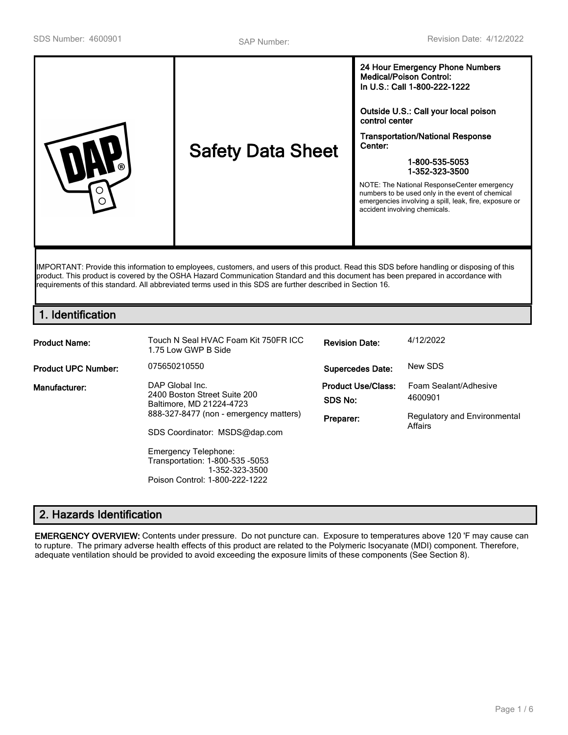| control center<br>Center:<br><b>Safety Data Sheet</b><br>ര<br>∩<br>accident involving chemicals. | In U.S.: Call 1-800-222-1222<br>Outside U.S.: Call your local poison<br><b>Transportation/National Response</b><br>1-800-535-5053<br>1-352-323-3500<br>NOTE: The National ResponseCenter emergency<br>numbers to be used only in the event of chemical<br>emergencies involving a spill, leak, fire, exposure or |
|--------------------------------------------------------------------------------------------------|------------------------------------------------------------------------------------------------------------------------------------------------------------------------------------------------------------------------------------------------------------------------------------------------------------------|
|--------------------------------------------------------------------------------------------------|------------------------------------------------------------------------------------------------------------------------------------------------------------------------------------------------------------------------------------------------------------------------------------------------------------------|

IMPORTANT: Provide this information to employees, customers, and users of this product. Read this SDS before handling or disposing of this product. This product is covered by the OSHA Hazard Communication Standard and this document has been prepared in accordance with requirements of this standard. All abbreviated terms used in this SDS are further described in Section 16.

# **1. Identification**

| <b>Product Name:</b>       | Touch N Seal HVAC Foam Kit 750FR ICC<br>1.75 Low GWP B Side                                                                                                                                                                                                                  | <b>Revision Date:</b>                             | 4/12/2022                                                                   |
|----------------------------|------------------------------------------------------------------------------------------------------------------------------------------------------------------------------------------------------------------------------------------------------------------------------|---------------------------------------------------|-----------------------------------------------------------------------------|
| <b>Product UPC Number:</b> | 075650210550                                                                                                                                                                                                                                                                 | <b>Supercedes Date:</b>                           | New SDS                                                                     |
| Manufacturer:              | DAP Global Inc.<br>2400 Boston Street Suite 200<br>Baltimore, MD 21224-4723<br>888-327-8477 (non - emergency matters)<br>SDS Coordinator: MSDS@dap.com<br><b>Emergency Telephone:</b><br>Transportation: 1-800-535 -5053<br>1-352-323-3500<br>Poison Control: 1-800-222-1222 | <b>Product Use/Class:</b><br>SDS No:<br>Preparer: | Foam Sealant/Adhesive<br>4600901<br>Regulatory and Environmental<br>Affairs |

# **2. Hazards Identification**

**EMERGENCY OVERVIEW:** Contents under pressure. Do not puncture can. Exposure to temperatures above 120 'F may cause can to rupture. The primary adverse health effects of this product are related to the Polymeric Isocyanate (MDI) component. Therefore, adequate ventilation should be provided to avoid exceeding the exposure limits of these components (See Section 8).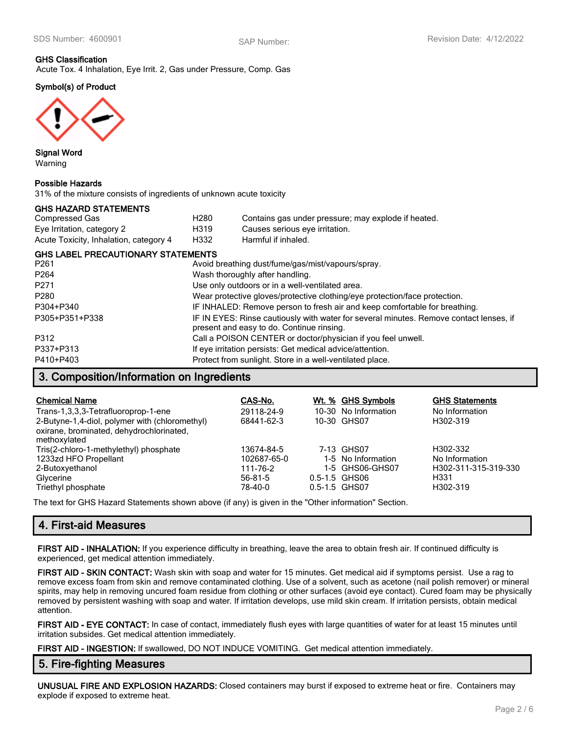# **GHS Classification**

Acute Tox. 4 Inhalation, Eye Irrit. 2, Gas under Pressure, Comp. Gas

# **Symbol(s) of Product**



**Signal Word** Warning

#### **Possible Hazards**

31% of the mixture consists of ingredients of unknown acute toxicity

#### **GHS HAZARD STATEMENTS**

| Compressed Gas                         | H280 | Contains gas under pressure; may explode if heated. |
|----------------------------------------|------|-----------------------------------------------------|
| Eye Irritation, category 2             | H319 | Causes serious eye irritation.                      |
| Acute Toxicity, Inhalation, category 4 | H332 | Harmful if inhaled.                                 |

### **GHS LABEL PRECAUTIONARY STATEMENTS**

| P261             | Avoid breathing dust/fume/gas/mist/vapours/spray.                                                                                   |
|------------------|-------------------------------------------------------------------------------------------------------------------------------------|
| P <sub>264</sub> | Wash thoroughly after handling.                                                                                                     |
| P271             | Use only outdoors or in a well-ventilated area.                                                                                     |
| P280             | Wear protective gloves/protective clothing/eye protection/face protection.                                                          |
| P304+P340        | IF INHALED: Remove person to fresh air and keep comfortable for breathing.                                                          |
| P305+P351+P338   | IF IN EYES: Rinse cautiously with water for several minutes. Remove contact lenses, if<br>present and easy to do. Continue rinsing. |
| P312             | Call a POISON CENTER or doctor/physician if you feel unwell.                                                                        |
| P337+P313        | If eye irritation persists: Get medical advice/attention.                                                                           |
| P410+P403        | Protect from sunlight. Store in a well-ventilated place.                                                                            |

# **3. Composition/Information on Ingredients**

| <b>Chemical Name</b><br>Trans-1,3,3,3-Tetrafluoroprop-1-ene<br>2-Butyne-1,4-diol, polymer with (chloromethyl)<br>oxirane, brominated, dehydrochlorinated,<br>methoxylated | CAS-No.<br>29118-24-9<br>68441-62-3 | Wt. % GHS Symbols<br>10-30 No Information<br>10-30 GHS07 | <b>GHS Statements</b><br>No Information<br>H302-319 |
|---------------------------------------------------------------------------------------------------------------------------------------------------------------------------|-------------------------------------|----------------------------------------------------------|-----------------------------------------------------|
| Tris(2-chloro-1-methylethyl) phosphate                                                                                                                                    | 13674-84-5                          | 7-13 GHS07                                               | H302-332                                            |
| 1233zd HFO Propellant                                                                                                                                                     | 102687-65-0                         | 1-5 No Information                                       | No Information                                      |
| 2-Butoxyethanol                                                                                                                                                           | 111-76-2                            | 1-5 GHS06-GHS07                                          | H302-311-315-319-330                                |
| Glycerine                                                                                                                                                                 | $56 - 81 - 5$                       | 0.5-1.5 GHS06                                            | H331                                                |
| Triethyl phosphate                                                                                                                                                        | 78-40-0                             | 0.5-1.5 GHS07                                            | H302-319                                            |

The text for GHS Hazard Statements shown above (if any) is given in the "Other information" Section.

# **4. First-aid Measures**

**FIRST AID - INHALATION:** If you experience difficulty in breathing, leave the area to obtain fresh air. If continued difficulty is experienced, get medical attention immediately.

**FIRST AID - SKIN CONTACT:** Wash skin with soap and water for 15 minutes. Get medical aid if symptoms persist. Use a rag to remove excess foam from skin and remove contaminated clothing. Use of a solvent, such as acetone (nail polish remover) or mineral spirits, may help in removing uncured foam residue from clothing or other surfaces (avoid eye contact). Cured foam may be physically removed by persistent washing with soap and water. If irritation develops, use mild skin cream. If irritation persists, obtain medical attention.

**FIRST AID - EYE CONTACT:** In case of contact, immediately flush eyes with large quantities of water for at least 15 minutes until irritation subsides. Get medical attention immediately.

**FIRST AID - INGESTION:** If swallowed, DO NOT INDUCE VOMITING. Get medical attention immediately.

# **5. Fire-fighting Measures**

**UNUSUAL FIRE AND EXPLOSION HAZARDS:** Closed containers may burst if exposed to extreme heat or fire. Containers may explode if exposed to extreme heat.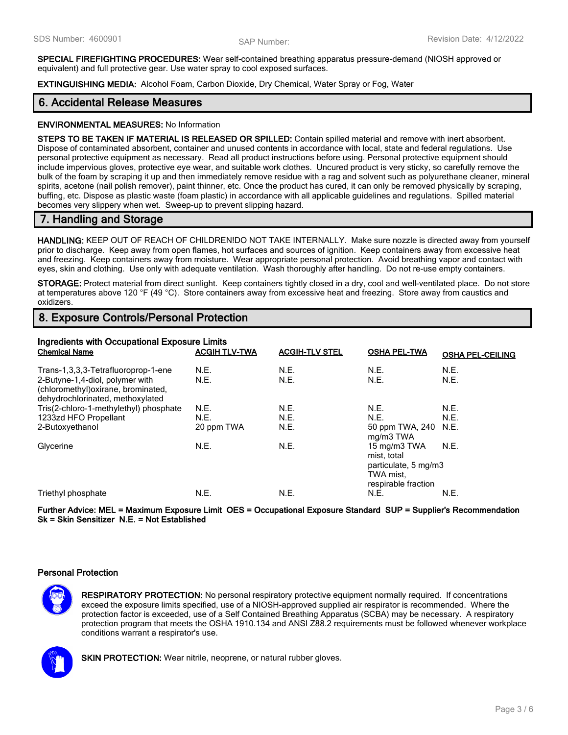**SPECIAL FIREFIGHTING PROCEDURES:** Wear self-contained breathing apparatus pressure-demand (NIOSH approved or equivalent) and full protective gear. Use water spray to cool exposed surfaces.

**EXTINGUISHING MEDIA:** Alcohol Foam, Carbon Dioxide, Dry Chemical, Water Spray or Fog, Water

### **6. Accidental Release Measures**

#### **ENVIRONMENTAL MEASURES:** No Information

**STEPS TO BE TAKEN IF MATERIAL IS RELEASED OR SPILLED:** Contain spilled material and remove with inert absorbent. Dispose of contaminated absorbent, container and unused contents in accordance with local, state and federal regulations. Use personal protective equipment as necessary. Read all product instructions before using. Personal protective equipment should include impervious gloves, protective eye wear, and suitable work clothes. Uncured product is very sticky, so carefully remove the bulk of the foam by scraping it up and then immediately remove residue with a rag and solvent such as polyurethane cleaner, mineral spirits, acetone (nail polish remover), paint thinner, etc. Once the product has cured, it can only be removed physically by scraping, buffing, etc. Dispose as plastic waste (foam plastic) in accordance with all applicable guidelines and regulations. Spilled material becomes very slippery when wet. Sweep-up to prevent slipping hazard.

### **7. Handling and Storage**

**HANDLING:** KEEP OUT OF REACH OF CHILDREN!DO NOT TAKE INTERNALLY. Make sure nozzle is directed away from yourself prior to discharge. Keep away from open flames, hot surfaces and sources of ignition. Keep containers away from excessive heat and freezing. Keep containers away from moisture. Wear appropriate personal protection. Avoid breathing vapor and contact with eyes, skin and clothing. Use only with adequate ventilation. Wash thoroughly after handling. Do not re-use empty containers.

**STORAGE:** Protect material from direct sunlight. Keep containers tightly closed in a dry, cool and well-ventilated place. Do not store at temperatures above 120 °F (49 °C). Store containers away from excessive heat and freezing. Store away from caustics and oxidizers.

## **8. Exposure Controls/Personal Protection**

| Ingredients with Occupational Exposure Limits<br><b>Chemical Name</b><br><b>ACGIH TLV-TWA</b><br><b>ACGIH-TLV STEL</b><br><b>OSHA PEL-TWA</b><br><b>OSHA PEL-CEILING</b> |              |              |                                                                                         |              |  |
|--------------------------------------------------------------------------------------------------------------------------------------------------------------------------|--------------|--------------|-----------------------------------------------------------------------------------------|--------------|--|
| Trans-1,3,3,3-Tetrafluoroprop-1-ene<br>2-Butyne-1,4-diol, polymer with<br>(chloromethyl) oxirane, brominated,<br>dehydrochlorinated, methoxylated                        | N.E.<br>N.E. | N.E.<br>N.E. | N.E.<br>N.E.                                                                            | N.E.<br>N.E. |  |
| Tris(2-chloro-1-methylethyl) phosphate                                                                                                                                   | N.E.         | N.E.         | N.E.                                                                                    | N.E.         |  |
| 1233zd HFO Propellant                                                                                                                                                    | N.E.         | N.E.         | N.E.                                                                                    | N.E.         |  |
| 2-Butoxyethanol                                                                                                                                                          | 20 ppm TWA   | N.E.         | 50 ppm TWA, 240 N.E.<br>mg/m3 TWA                                                       |              |  |
| Glycerine                                                                                                                                                                | N.E.         | N.E.         | 15 mg/m3 TWA<br>mist, total<br>particulate, 5 mg/m3<br>TWA mist.<br>respirable fraction | N.E.         |  |
| Triethyl phosphate                                                                                                                                                       | N.E.         | N.E.         | N.E.                                                                                    | N.E.         |  |

**Further Advice: MEL = Maximum Exposure Limit OES = Occupational Exposure Standard SUP = Supplier's Recommendation Sk = Skin Sensitizer N.E. = Not Established**

#### **Personal Protection**

**RESPIRATORY PROTECTION:** No personal respiratory protective equipment normally required. If concentrations exceed the exposure limits specified, use of a NIOSH-approved supplied air respirator is recommended. Where the protection factor is exceeded, use of a Self Contained Breathing Apparatus (SCBA) may be necessary. A respiratory protection program that meets the OSHA 1910.134 and ANSI Z88.2 requirements must be followed whenever workplace conditions warrant a respirator's use.



**SKIN PROTECTION:** Wear nitrile, neoprene, or natural rubber gloves.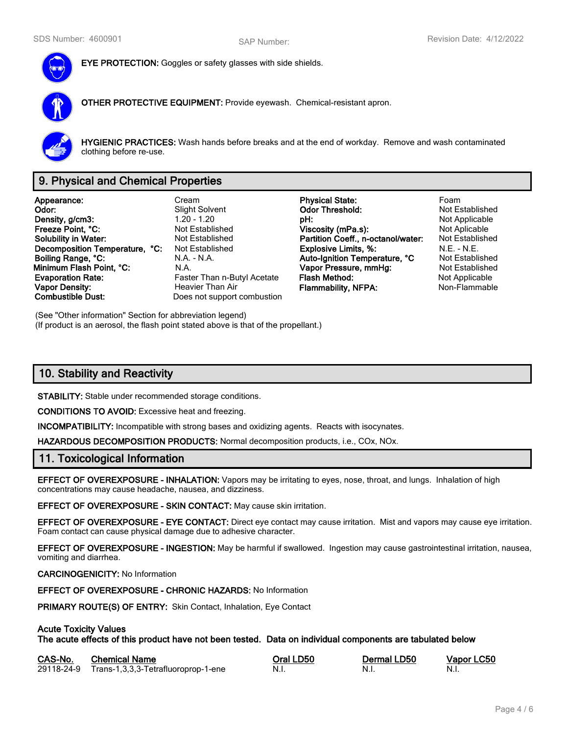

**EYE PROTECTION:** Goggles or safety glasses with side shields.

**OTHER PROTECTIVE EQUIPMENT:** Provide eyewash. Chemical-resistant apron.



**HYGIENIC PRACTICES:** Wash hands before breaks and at the end of workday. Remove and wash contaminated clothing before re-use.

# **9. Physical and Chemical Properties**

**Appearance:** Cream **Physical State:** Foam **Density, g/cm3:** 1.20 - 1.20 - 1.20 **pH: pH: pH:** Not Applicable proposity of the Section Pressure of Applicable pressure of the Not Applicable pressure of Not Applicable pressure of Not Applicable pressure of Not App **Freeze Point, °C: Not Established Viscosity (mPa.s):** Not Aplicable **Not Aplicable Solubility in Water:** Not Established **Partition Coeff., n-octanol/water:** Not Established **Decomposition Temperature, °C:** Not Established **Explosive Limits, %:** N.E. - N.E. - N.E. **Boiling Range, °C:** N.A. - N.A. - N.A. **Auto-Ignition Temperature, °C** Not Established **Minimum Flash Point, °C:** N.A. **Vapor Pressure, mmHg:** Not Established **Evaporation Rate:** Faster Than n-Butyl Acetate **Flash Method:** Not Applicable **Not Applicable Vapor Density: Heavier Than Air Flammability, NFPA:** Non-Flammable **Combustible Dust:** Does not support combustion

**Slight Solvent Codor Threshold:**<br>1.20 - 1.20 **DH:** Does not support combustion

(See "Other information" Section for abbreviation legend) (If product is an aerosol, the flash point stated above is that of the propellant.)

# **10. Stability and Reactivity**

**STABILITY:** Stable under recommended storage conditions.

**CONDITIONS TO AVOID:** Excessive heat and freezing.

**INCOMPATIBILITY:** Incompatible with strong bases and oxidizing agents. Reacts with isocynates.

**HAZARDOUS DECOMPOSITION PRODUCTS:** Normal decomposition products, i.e., COx, NOx.

### **11. Toxicological Information**

**EFFECT OF OVEREXPOSURE - INHALATION:** Vapors may be irritating to eyes, nose, throat, and lungs. Inhalation of high concentrations may cause headache, nausea, and dizziness.

**EFFECT OF OVEREXPOSURE - SKIN CONTACT:** May cause skin irritation.

**EFFECT OF OVEREXPOSURE - EYE CONTACT:** Direct eye contact may cause irritation. Mist and vapors may cause eye irritation. Foam contact can cause physical damage due to adhesive character.

**EFFECT OF OVEREXPOSURE - INGESTION:** May be harmful if swallowed. Ingestion may cause gastrointestinal irritation, nausea, vomiting and diarrhea.

#### **CARCINOGENICITY:** No Information

**EFFECT OF OVEREXPOSURE - CHRONIC HAZARDS:** No Information

**PRIMARY ROUTE(S) OF ENTRY:** Skin Contact, Inhalation, Eye Contact

#### **Acute Toxicity Values**

**The acute effects of this product have not been tested. Data on individual components are tabulated below**

| CAS-No. | <b>Chemical Name</b>                           | Oral LD50 | Dermal LD50 | Vapor LC50 |
|---------|------------------------------------------------|-----------|-------------|------------|
|         | 29118-24-9 Trans-1,3,3,3-Tetrafluoroprop-1-ene | - N.i.    | - N.I.      | - N.i.     |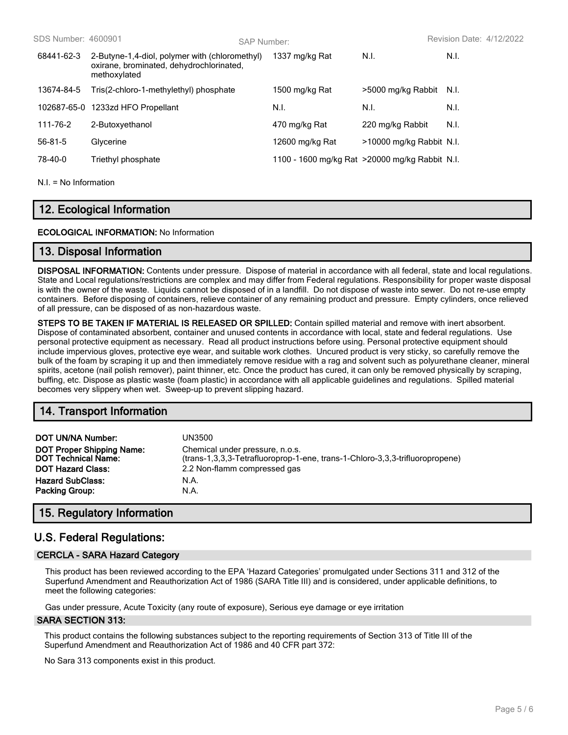| SDS Number: 4600901 |                                                                                                            | SAP Number: |                                                 |                          | Revision Date: 4/12/2022 |
|---------------------|------------------------------------------------------------------------------------------------------------|-------------|-------------------------------------------------|--------------------------|--------------------------|
| 68441-62-3          | 2-Butyne-1,4-diol, polymer with (chloromethyl)<br>oxirane, brominated, dehydrochlorinated,<br>methoxylated |             | 1337 mg/kg Rat                                  | N.I.                     | N.I.                     |
| 13674-84-5          | Tris(2-chloro-1-methylethyl) phosphate                                                                     |             | 1500 mg/kg Rat                                  | >5000 mg/kg Rabbit       | - N.I.                   |
| 102687-65-0         | 1233zd HFO Propellant                                                                                      |             | N.I.                                            | N.I.                     | N.I.                     |
| 111-76-2            | 2-Butoxyethanol                                                                                            |             | 470 mg/kg Rat                                   | 220 mg/kg Rabbit         | N.I.                     |
| 56-81-5             | Glycerine                                                                                                  |             | 12600 mg/kg Rat                                 | >10000 mg/kg Rabbit N.I. |                          |
| 78-40-0             | Triethyl phosphate                                                                                         |             | 1100 - 1600 mg/kg Rat > 20000 mg/kg Rabbit N.I. |                          |                          |
|                     |                                                                                                            |             |                                                 |                          |                          |

 $NI = No$  Information

# **12. Ecological Information**

#### **ECOLOGICAL INFORMATION:** No Information

### **13. Disposal Information**

**DISPOSAL INFORMATION:** Contents under pressure. Dispose of material in accordance with all federal, state and local regulations. State and Local regulations/restrictions are complex and may differ from Federal regulations. Responsibility for proper waste disposal is with the owner of the waste. Liquids cannot be disposed of in a landfill. Do not dispose of waste into sewer. Do not re-use empty containers. Before disposing of containers, relieve container of any remaining product and pressure. Empty cylinders, once relieved of all pressure, can be disposed of as non-hazardous waste.

**STEPS TO BE TAKEN IF MATERIAL IS RELEASED OR SPILLED:** Contain spilled material and remove with inert absorbent. Dispose of contaminated absorbent, container and unused contents in accordance with local, state and federal regulations. Use personal protective equipment as necessary. Read all product instructions before using. Personal protective equipment should include impervious gloves, protective eye wear, and suitable work clothes. Uncured product is very sticky, so carefully remove the bulk of the foam by scraping it up and then immediately remove residue with a rag and solvent such as polyurethane cleaner, mineral spirits, acetone (nail polish remover), paint thinner, etc. Once the product has cured, it can only be removed physically by scraping, buffing, etc. Dispose as plastic waste (foam plastic) in accordance with all applicable guidelines and regulations. Spilled material becomes very slippery when wet. Sweep-up to prevent slipping hazard.

## **14. Transport Information**

| DOT UN/NA Number:                | UN3500                                                                       |
|----------------------------------|------------------------------------------------------------------------------|
| <b>DOT Proper Shipping Name:</b> | Chemical under pressure, n.o.s.                                              |
| <b>DOT Technical Name:</b>       | (trans-1,3,3,3-Tetrafluoroprop-1-ene, trans-1-Chloro-3,3,3-trifluoropropene) |
| <b>DOT Hazard Class:</b>         | 2.2 Non-flamm compressed gas                                                 |
| <b>Hazard SubClass:</b>          | N.A.                                                                         |
| <b>Packing Group:</b>            | N.A.                                                                         |

## **15. Regulatory Information**

# **U.S. Federal Regulations:**

#### **CERCLA - SARA Hazard Category**

This product has been reviewed according to the EPA 'Hazard Categories' promulgated under Sections 311 and 312 of the Superfund Amendment and Reauthorization Act of 1986 (SARA Title III) and is considered, under applicable definitions, to meet the following categories:

Gas under pressure, Acute Toxicity (any route of exposure), Serious eye damage or eye irritation

#### **SARA SECTION 313:**

This product contains the following substances subject to the reporting requirements of Section 313 of Title III of the Superfund Amendment and Reauthorization Act of 1986 and 40 CFR part 372:

No Sara 313 components exist in this product.